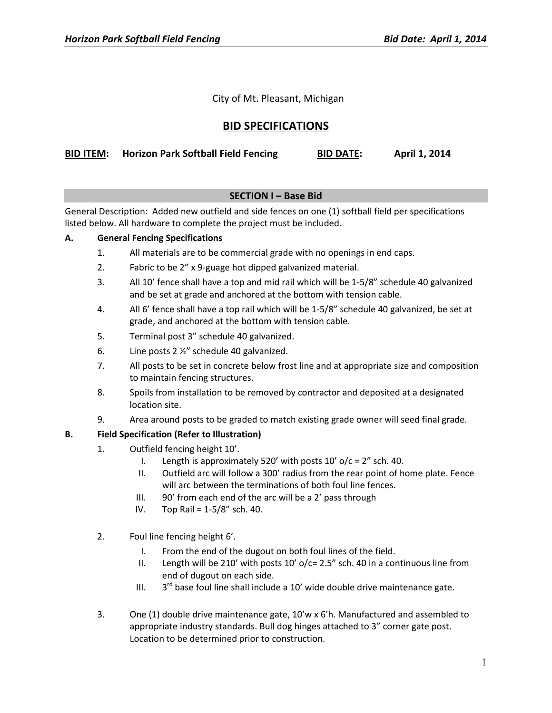City of Mt. Pleasant, Michigan

# **BID SPECIFICATIONS**

| <b>BID ITEM:</b> Horizon Park Softball Field Fencing | <b>BID DATE:</b> | April 1, 2014 |
|------------------------------------------------------|------------------|---------------|
|------------------------------------------------------|------------------|---------------|

# **SECTION I – Base Bid**

General Description: Added new outfield and side fences on one (1) softball field per specifications listed below. All hardware to complete the project must be included.

## **A. General Fencing Specifications**

- 1. All materials are to be commercial grade with no openings in end caps.
- 2. Fabric to be 2" x 9-guage hot dipped galvanized material.
- 3. All 10' fence shall have a top and mid rail which will be 1-5/8" schedule 40 galvanized and be set at grade and anchored at the bottom with tension cable.
- 4. All 6' fence shall have a top rail which will be 1-5/8" schedule 40 galvanized, be set at grade, and anchored at the bottom with tension cable.
- 5. Terminal post 3" schedule 40 galvanized.
- 6. Line posts 2 ½" schedule 40 galvanized.
- 7. All posts to be set in concrete below frost line and at appropriate size and composition to maintain fencing structures.
- 8. Spoils from installation to be removed by contractor and deposited at a designated location site.
- 9. Area around posts to be graded to match existing grade owner will seed final grade.

# **B. Field Specification (Refer to Illustration)**

- 1. Outfield fencing height 10'.
	- I. Length is approximately 520' with posts  $10'$  o/c = 2" sch. 40.
	- II. Outfield arc will follow a 300' radius from the rear point of home plate. Fence will arc between the terminations of both foul line fences.
	- III. 90' from each end of the arc will be a 2' pass through
	- IV. Top Rail = 1-5/8" sch. 40.
- 2. Foul line fencing height 6'.
	- I. From the end of the dugout on both foul lines of the field.
	- II. Length will be 210' with posts  $10'$  o/c= 2.5" sch. 40 in a continuous line from end of dugout on each side.
	- III.  $3^{rd}$  base foul line shall include a 10' wide double drive maintenance gate.
- 3. One (1) double drive maintenance gate, 10'w x 6'h. Manufactured and assembled to appropriate industry standards. Bull dog hinges attached to 3" corner gate post. Location to be determined prior to construction.